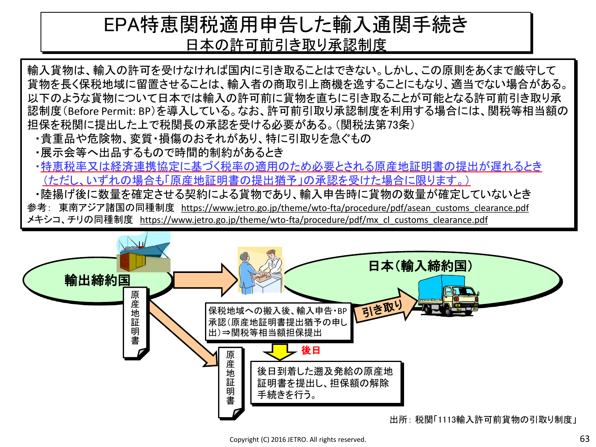### EPA特恵関税適用申告した輸入通関手続き 日本の許可前引き取り承認制度

輸入貨物は、輸入の許可を受けなければ国内に引き取ることはできない。しかし、この原則をあくまで厳守して 貨物を長く保税地域に留置させることは、輸入者の商取引上商機を逸することにもなり、適当でない場合がある。 以下のような貨物について日本では輸入の許可前に貨物を直ちに引き取ることが可能となる許可前引き取り承 認制度(Before Permit: BP)を導入している。なお、許可前引取り承認制度を利用する場合には、関税等相当額の 担保を税関に提出した上で税関長の承認を受ける必要がある。(関税法第73条)

- ・貴重品や危険物、変質・損傷のおそれがあり、特に引取りを急ぐもの
- ・展示会等へ出品するもので時間的制約があるとき
- ・特恵税率又は経済連携協定に基づく税率の適用のため必要とされる原産地証明書の提出が遅れるとき (ただし、いずれの場合も「原産地証明書の提出猶予」の承認を受けた場合に限ります。)

・陸揚げ後に数量を確定させる契約による貨物であり、輸入申告時に貨物の数量が確定していないとき 参考: 東南アジア諸国の同種制度 https://www.jetro.go.jp/theme/wto-fta/procedure/pdf/asean customs clearance.pdf メキシコ、チリの同種制度 https://www.jetro.go.jp/theme/wto-fta/procedure/pdf/mx\_cl\_customs\_clearance.pdf

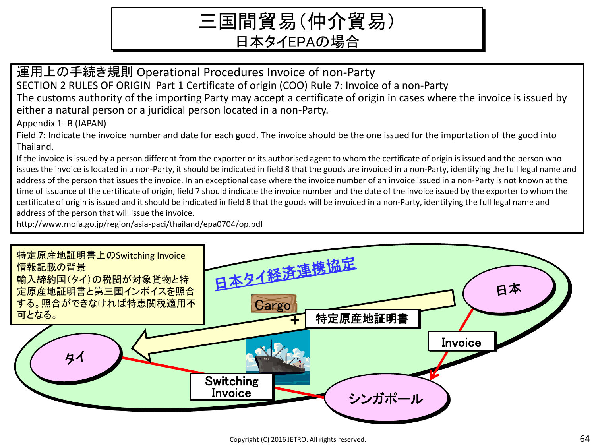# 三国間貿易(仲介貿易) 日本タイEPAの場合

運用上の手続き規則 Operational Procedures Invoice of non-Party SECTION 2 RULES OF ORIGIN Part 1 Certificate of origin (COO) Rule 7: Invoice of a non-Party The customs authority of the importing Party may accept a certificate of origin in cases where the invoice is issued by either a natural person or a juridical person located in a non-Party.

Appendix 1- B (JAPAN)

Field 7: Indicate the invoice number and date for each good. The invoice should be the one issued for the importation of the good into Thailand.

If the invoice is issued by a person different from the exporter or its authorised agent to whom the certificate of origin is issued and the person who issues the invoice is located in a non-Party, it should be indicated in field 8 that the goods are invoiced in a non-Party, identifying the full legal name and address of the person that issues the invoice. In an exceptional case where the invoice number of an invoice issued in a non-Party is not known at the time of issuance of the certificate of origin, field 7 should indicate the invoice number and the date of the invoice issued by the exporter to whom the certificate of origin is issued and it should be indicated in field 8 that the goods will be invoiced in a non-Party, identifying the full legal name and address of the person that will issue the invoice.

http://www.mofa.go.jp/region/asia-paci/thailand/epa0704/op.pdf

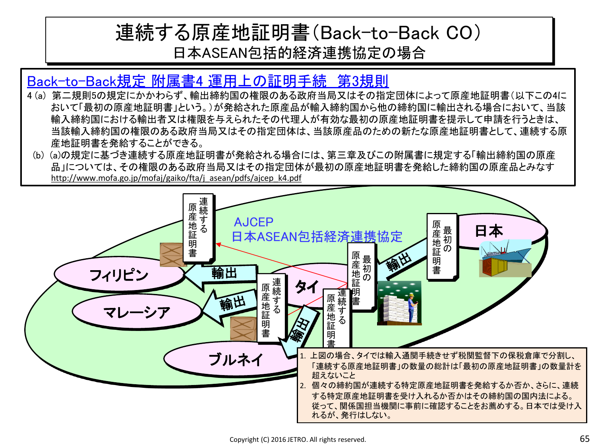### 連続する原産地証明書(Back-to-Back CO) 日本ASEAN包括的経済連携協定の場合

#### Back-to-Back規定 附属書4 運用上の証明手続 第3規則

- 4 (a) 第二規則5の規定にかかわらず、輸出締約国の権限のある政府当局又はその指定団体によって原産地証明書(以下この4に おいて「最初の原産地証明書」という。)が発給された原産品が輸入締約国から他の締約国に輸出される場合において、当該 輸入締約国における輸出者又は権限を与えられたその代理人が有効な最初の原産地証明書を提示して申請を行うときは、 当該輸入締約国の権限のある政府当局又はその指定団体は、当該原産品のための新たな原産地証明書として、連続する原 産地証明書を発給することができる。
- (b) (a)の規定に基づき連続する原産地証明書が発給される場合には、第三章及びこの附属書に規定する「輸出締約国の原産 品」については、その権限のある政府当局又はその指定団体が最初の原産地証明書を発給した締約国の原産品とみなす http://www.mofa.go.jp/mofaj/gaiko/fta/j\_asean/pdfs/ajcep\_k4.pdf